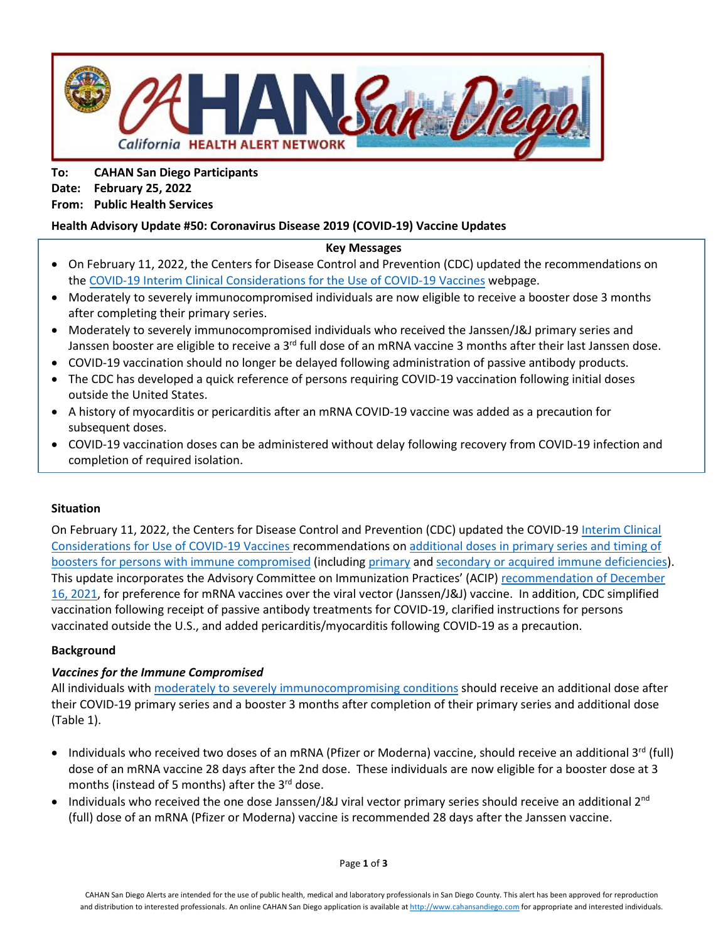

**To: CAHAN San Diego Participants Date: February 25, 2022 From: Public Health Services**

## **Health Advisory Update #50: Coronavirus Disease 2019 (COVID-19) Vaccine Updates**

#### **Key Messages**

- On February 11, 2022, the Centers for Disease Control and Prevention (CDC) updated the recommendations on the COVID-19 Interim [Clinical Considerations for the](https://www.cdc.gov/vaccines/covid-19/clinical-considerations/covid-19-vaccines-us.html) Use of COVID-19 Vaccines webpage.
- Moderately to severely immunocompromised individuals are now eligible to receive a booster dose 3 months after completing their primary series.
- Moderately to severely immunocompromised individuals who received the Janssen/J&J primary series and Janssen booster are eligible to receive a  $3<sup>rd</sup>$  full dose of an mRNA vaccine 3 months after their last Janssen dose.
- COVID-19 vaccination should no longer be delayed following administration of passive antibody products.
- The CDC has developed a quick reference of persons requiring COVID-19 vaccination following initial doses outside the United States.
- A history of myocarditis or pericarditis after an mRNA COVID-19 vaccine was added as a precaution for subsequent doses.
- COVID-19 vaccination doses can be administered without delay following recovery from COVID-19 infection and completion of required isolation.

### **Situation**

On February 11, 2022, the Centers for Disease Control and Prevention (CDC) updated the COVID-19 [Interim Clinical](https://www.cdc.gov/vaccines/covid-19/clinical-considerations/covid-19-vaccines-us.html)  [Considerations for Use of COVID-19 Vaccines r](https://www.cdc.gov/vaccines/covid-19/clinical-considerations/covid-19-vaccines-us.html)ecommendations o[n additional doses in primary series and timing of](https://www.cdc.gov/vaccines/covid-19/clinical-considerations/covid-19-vaccines-us.html#vaccination-people-immunocompromised)  [boosters for persons with immune compromised](https://www.cdc.gov/vaccines/covid-19/clinical-considerations/covid-19-vaccines-us.html#vaccination-people-immunocompromised) (including [primary](https://www.cdc.gov/genomics/disease/primary_immunodeficiency.htm) and [secondary or acquired immune deficiencies\)](https://www.cdc.gov/vaccines/hcp/acip-recs/general-recs/immunocompetence.html). This update incorporates the Advisory Committee on Immunization Practices' (ACIP[\) recommendation of December](https://www.cdc.gov/media/releases/2021/s1216-covid-19-vaccines.html) [16, 2021,](https://www.cdc.gov/media/releases/2021/s1216-covid-19-vaccines.html) for preference for mRNA vaccines over the viral vector (Janssen/J&J) vaccine. In addition, CDC simplified vaccination following receipt of passive antibody treatments for COVID-19, clarified instructions for persons vaccinated outside the U.S., and added pericarditis/myocarditis following COVID-19 as a precaution.

### **Background**

### *Vaccines for the Immune Compromised*

All individuals with moderately to severely [immunocompromising conditions](https://www.cdc.gov/coronavirus/2019-ncov/vaccines/recommendations/immuno.html) should receive an additional dose after their COVID-19 primary series and a booster 3 months after completion of their primary series and additional dose (Table 1).

- Individuals who received two doses of an mRNA (Pfizer or Moderna) vaccine, should receive an additional 3<sup>rd</sup> (full) dose of an mRNA vaccine 28 days after the 2nd dose. These individuals are now eligible for a booster dose at 3 months (instead of 5 months) after the  $3<sup>rd</sup>$  dose.
- Individuals who received the one dose Janssen/J&J viral vector primary series should receive an additional 2<sup>nd</sup> (full) dose of an mRNA (Pfizer or Moderna) vaccine is recommended 28 days after the Janssen vaccine.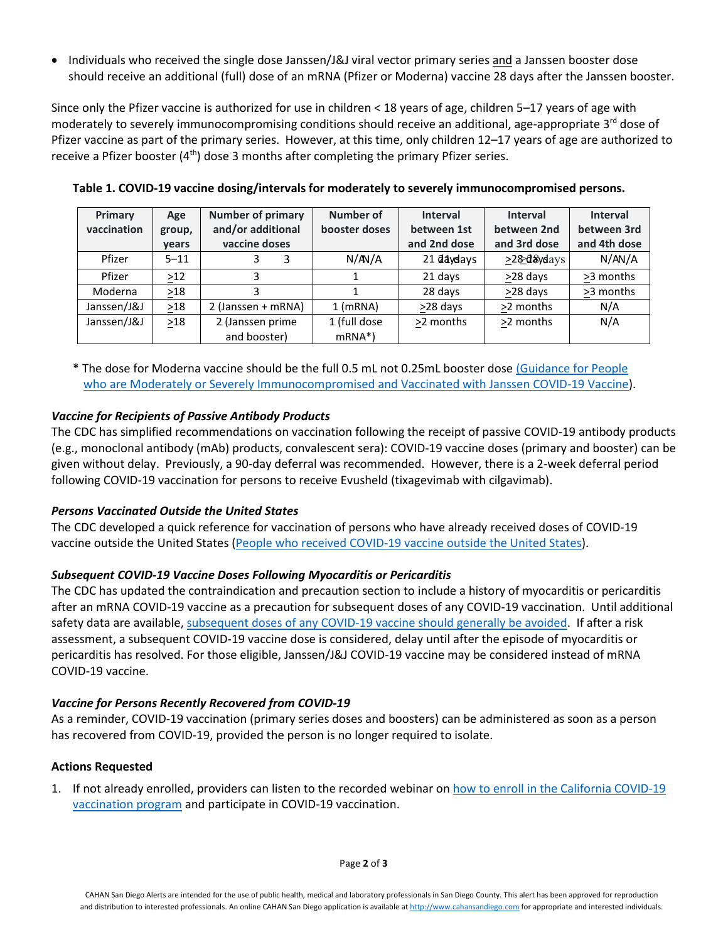• Individuals who received the single dose Janssen/J&J viral vector primary series and a Janssen booster dose should receive an additional (full) dose of an mRNA (Pfizer or Moderna) vaccine 28 days after the Janssen booster.

Since only the Pfizer vaccine is authorized for use in children < 18 years of age, children 5–17 years of age with moderately to severely immunocompromising conditions should receive an additional, age-appropriate 3<sup>rd</sup> dose of Pfizer vaccine as part of the primary series. However, at this time, only children 12–17 years of age are authorized to receive a Pfizer booster  $(4<sup>th</sup>)$  dose 3 months after completing the primary Pfizer series.

| Primary<br>vaccination | Age<br>group,<br>vears | <b>Number of primary</b><br>and/or additional<br>vaccine doses | Number of<br>booster doses | <b>Interval</b><br>between 1st<br>and 2nd dose | <b>Interval</b><br>between 2nd<br>and 3rd dose | <b>Interval</b><br>between 3rd<br>and 4th dose |
|------------------------|------------------------|----------------------------------------------------------------|----------------------------|------------------------------------------------|------------------------------------------------|------------------------------------------------|
| Pfizer                 | $5 - 11$               | 3                                                              | N/M/A                      | 21 daydays                                     | ≥2&d&ydays                                     | N/AN/A                                         |
| Pfizer                 | $>12$                  |                                                                |                            | 21 days                                        | >28 days                                       | >3 months                                      |
| Moderna                | $\geq$ 18              |                                                                |                            | 28 days                                        | >28 days                                       | >3 months                                      |
| Janssen/J&J            | $\geq$ 18              | 2 (Janssen + mRNA)                                             | $1$ (mRNA)                 | >28 days                                       | >2 months                                      | N/A                                            |
| Janssen/J&J            | $\geq$ 18              | 2 (Janssen prime<br>and booster)                               | 1 (full dose<br>$mRNA*$ )  | >2 months                                      | >2 months                                      | N/A                                            |

**Table 1. COVID-19 vaccine dosing/intervals for moderately to severely immunocompromised persons.**

\* The dose for Moderna vaccine should be the full 0.5 mL not 0.25mL booster dose [\(Guidance for People](https://www.cdc.gov/vaccines/covid-19/clinical-considerations/covid-19-vaccines-us.html#appendix-b)  [who are Moderately or Severely Immunocompromised and Vaccinated with Janssen COVID-19 Vaccine\)](https://www.cdc.gov/vaccines/covid-19/clinical-considerations/covid-19-vaccines-us.html#appendix-b).

## *Vaccine for Recipients of Passive Antibody Products*

The CDC has simplified recommendations on vaccination following the receipt of passive COVID-19 antibody products (e.g., monoclonal antibody (mAb) products, convalescent sera): COVID-19 vaccine doses (primary and booster) can be given without delay. Previously, a 90-day deferral was recommended. However, there is a 2-week deferral period following COVID-19 vaccination for persons to receive Evusheld (tixagevimab with cilgavimab).

### *Persons Vaccinated Outside the United States*

The CDC developed a quick reference for vaccination of persons who have already received doses of COVID-19 vaccine outside the United States [\(People who received COVID-19 vaccine outside the United States\)](https://www.cdc.gov/vaccines/covid-19/clinical-considerations/covid-19-vaccines-us.html#appendix-e).

### *Subsequent COVID-19 Vaccine Doses Following Myocarditis or Pericarditis*

The CDC has updated the contraindication and precaution section to include a history of myocarditis or pericarditis after an mRNA COVID-19 vaccine as a precaution for subsequent doses of any COVID-19 vaccination. Until additional safety data are available, [subsequent doses of any COVID-19 vaccine should generally be avoided.](https://www.cdc.gov/vaccines/covid-19/clinical-considerations/covid-19-vaccines-us.html#Contraindications) If after a risk assessment, a subsequent COVID-19 vaccine dose is considered, delay until after the episode of myocarditis or pericarditis has resolved. For those eligible, Janssen/J&J COVID-19 vaccine may be considered instead of mRNA COVID-19 vaccine.

# *Vaccine for Persons Recently Recovered from COVID-19*

As a reminder, COVID-19 vaccination (primary series doses and boosters) can be administered as soon as a person has recovered from COVID-19, provided the person is no longer required to isolate.

### **Actions Requested**

1. If not already enrolled, providers can listen to the recorded webinar on how to enroll in the California COVID-19 [vaccination program](http://r20.rs6.net/tn.jsp?f=001kHD6lI3d8sZXxlJb1iSJzwBe5metSILshWTO2DkMhAhnEwAIAZibjK-XR2W7BHWS4WHeK2SoSlZLXykcbkptIMe4OUZyXYOtZLHtd-a4eTNlMAXCEWQBTL3MlCb7OIXTjqiArgl3qxzb2mjRwl0EkQSXOe4HOsPng-dTQwS3mcHhBeciPMztiT3Fus5VSkfxu7i36e93LfqXBSYpm7DWYNkbjyy4zw9xGVSIw42Q4AWDDVQNAFLiDavr7z5-bsnFfVb7NOA3nMM_rIP4wMWEGiIdFjL3BppJ38AIXNdhmQ8CDTSJQwGe7inRopm-TaU4tkEGXb2G-guNX6eE0DPFXL-sJAsPEAk7QIRcUc63G1l3KCZaPlCPI5x8lMvRYmAGssSjAT96lEsgVlq2Ar4E7Hi-P-ettZ_nJ984LkQ6ZkUwu39dLPPAlOVSf1Z2CXarlOkW25tmDx0gITotxxwCmIZRFNtO2vKGNMxN4L6qaMcmhVBGx5Y_kxmruEzS_8nNAuGq5DBGRrNaClrwVvrKYESXUxw-GNg7nf760sZdSFUm71ZY-WIaYzXytDD5hvtDpN9qWfev_Vyvl_n8h4sU_uM7Tm2sqIJ3&c=xCrhdtftlwXFHJigkxeGlUALY6QuQBAFmk-_7GljSzpXa7sZvwEZLw==&ch=2N5F2nG53uXDiX2FwP332YAw1KKJFEcCMo2lNXgZX76PNhmXDppuFA==&jrc=1) and participate in COVID-19 vaccination.